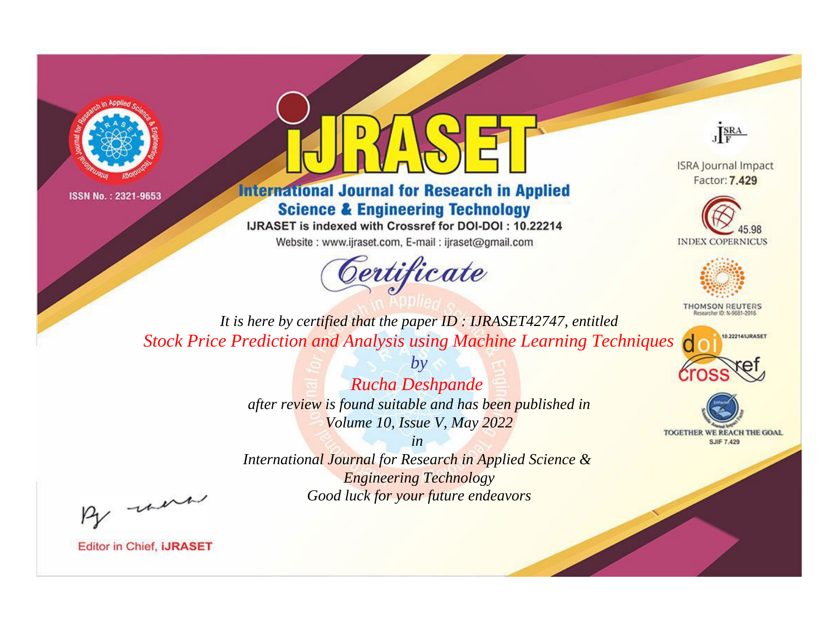



## **International Journal for Research in Applied Science & Engineering Technology**

IJRASET is indexed with Crossref for DOI-DOI: 10.22214

Website: www.ijraset.com, E-mail: ijraset@gmail.com



JERA

**ISRA Journal Impact** Factor: 7.429





**THOMSON REUTERS** 



TOGETHER WE REACH THE GOAL **SJIF 7.429** 

*It is here by certified that the paper ID : IJRASET42747, entitled Stock Price Prediction and Analysis using Machine Learning Techniques*

> *Rucha Deshpande after review is found suitable and has been published in Volume 10, Issue V, May 2022*

*by*

*in* 

*International Journal for Research in Applied Science & Engineering Technology Good luck for your future endeavors*

By morn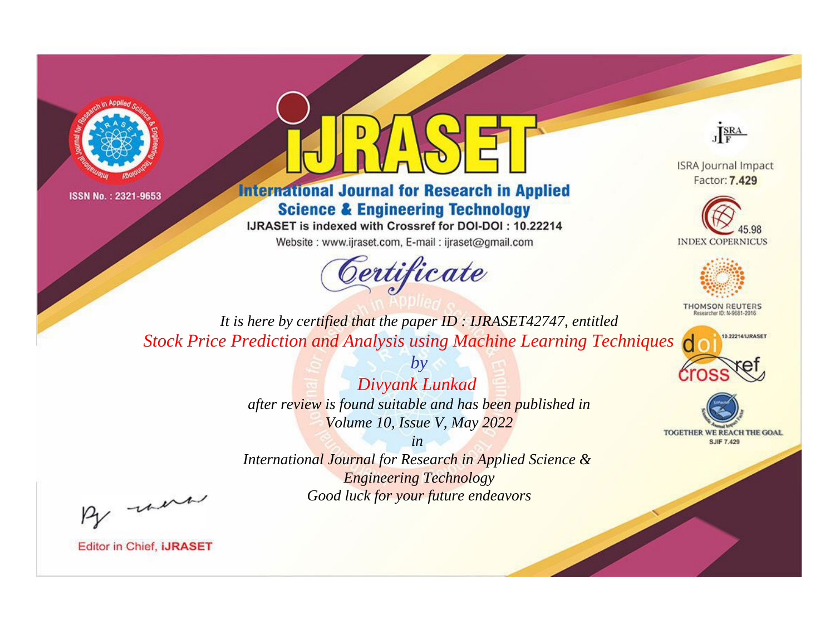



## **International Journal for Research in Applied Science & Engineering Technology**

IJRASET is indexed with Crossref for DOI-DOI: 10.22214

Website: www.ijraset.com, E-mail: ijraset@gmail.com



JERA

**ISRA Journal Impact** Factor: 7.429





**THOMSON REUTERS** 



TOGETHER WE REACH THE GOAL **SJIF 7.429** 

*It is here by certified that the paper ID : IJRASET42747, entitled Stock Price Prediction and Analysis using Machine Learning Techniques*

> *Divyank Lunkad after review is found suitable and has been published in Volume 10, Issue V, May 2022*

*by*

*in* 

*International Journal for Research in Applied Science & Engineering Technology Good luck for your future endeavors*

By morn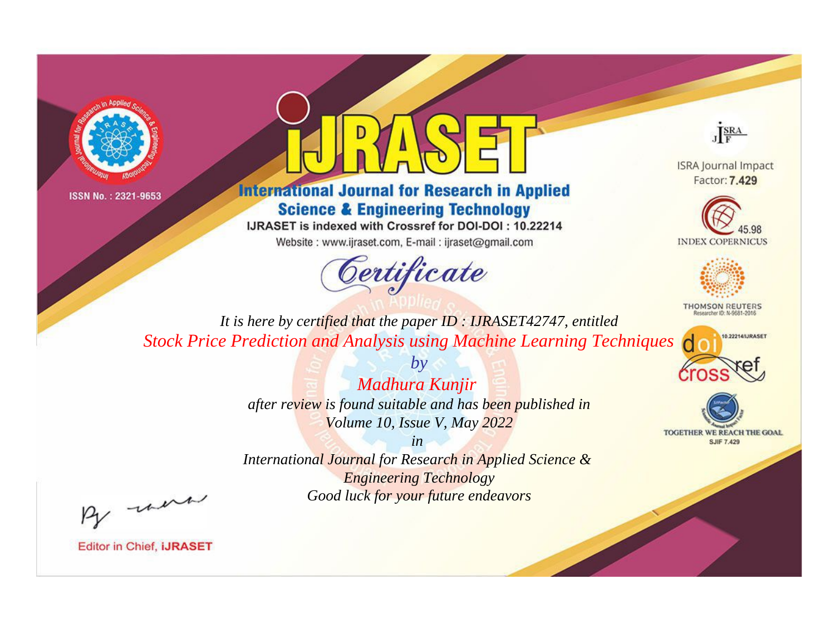



## **International Journal for Research in Applied Science & Engineering Technology**

IJRASET is indexed with Crossref for DOI-DOI: 10.22214

Website: www.ijraset.com, E-mail: ijraset@gmail.com



JERA

**ISRA Journal Impact** Factor: 7.429





**THOMSON REUTERS** 



TOGETHER WE REACH THE GOAL **SJIF 7.429** 

*It is here by certified that the paper ID : IJRASET42747, entitled Stock Price Prediction and Analysis using Machine Learning Techniques*

> *Madhura Kunjir after review is found suitable and has been published in Volume 10, Issue V, May 2022*

*by*

*in* 

*International Journal for Research in Applied Science & Engineering Technology Good luck for your future endeavors*

By morn